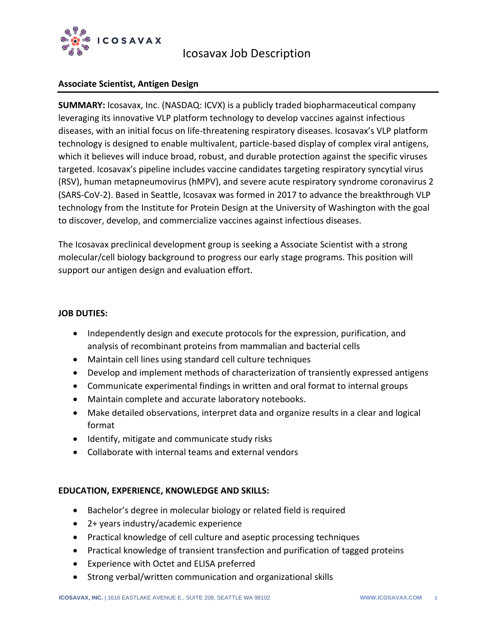

# Icosavax Job Description

## **Associate Scientist, Antigen Design**

**SUMMARY:** Icosavax, Inc. (NASDAQ: ICVX) is a publicly traded biopharmaceutical company leveraging its innovative VLP platform technology to develop vaccines against infectious diseases, with an initial focus on life-threatening respiratory diseases. Icosavax's VLP platform technology is designed to enable multivalent, particle-based display of complex viral antigens, which it believes will induce broad, robust, and durable protection against the specific viruses targeted. Icosavax's pipeline includes vaccine candidates targeting respiratory syncytial virus (RSV), human metapneumovirus (hMPV), and severe acute respiratory syndrome coronavirus 2 (SARS-CoV-2). Based in Seattle, Icosavax was formed in 2017 to advance the breakthrough VLP technology from the Institute for Protein Design at the University of Washington with the goal to discover, develop, and commercialize vaccines against infectious diseases.

The Icosavax preclinical development group is seeking a Associate Scientist with a strong molecular/cell biology background to progress our early stage programs. This position will support our antigen design and evaluation effort.

### **JOB DUTIES:**

- Independently design and execute protocols for the expression, purification, and analysis of recombinant proteins from mammalian and bacterial cells
- Maintain cell lines using standard cell culture techniques
- Develop and implement methods of characterization of transiently expressed antigens
- Communicate experimental findings in written and oral format to internal groups
- Maintain complete and accurate laboratory notebooks.
- Make detailed observations, interpret data and organize results in a clear and logical format
- Identify, mitigate and communicate study risks
- Collaborate with internal teams and external vendors

### **EDUCATION, EXPERIENCE, KNOWLEDGE AND SKILLS:**

- Bachelor's degree in molecular biology or related field is required
- 2+ years industry/academic experience
- Practical knowledge of cell culture and aseptic processing techniques
- Practical knowledge of transient transfection and purification of tagged proteins
- Experience with Octet and ELISA preferred
- Strong verbal/written communication and organizational skills